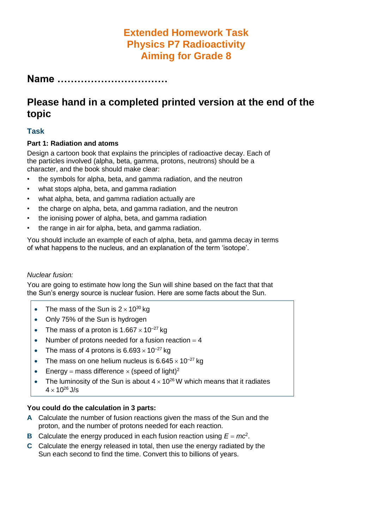# **Extended Homework Task Physics P7 Radioactivity Aiming for Grade 8**

**Name ……………………………**

# **Please hand in a completed printed version at the end of the topic**

## **Task**

#### **Part 1: Radiation and atoms**

Design a cartoon book that explains the principles of radioactive decay. Each of the particles involved (alpha, beta, gamma, protons, neutrons) should be a character, and the book should make clear:

- the symbols for alpha, beta, and gamma radiation, and the neutron
- what stops alpha, beta, and gamma radiation
- what alpha, beta, and gamma radiation actually are
- the charge on alpha, beta, and gamma radiation, and the neutron
- the ionising power of alpha, beta, and gamma radiation
- the range in air for alpha, beta, and gamma radiation.

You should include an example of each of alpha, beta, and gamma decay in terms of what happens to the nucleus, and an explanation of the term 'isotope'.

#### *Nuclear fusion:*

You are going to estimate how long the Sun will shine based on the fact that that the Sun's energy source is nuclear fusion. Here are some facts about the Sun.

- The mass of the Sun is  $2 \times 10^{30}$  kg
- Only 75% of the Sun is hydrogen
- The mass of a proton is  $1.667 \times 10^{-27}$  kg
- Number of protons needed for a fusion reaction  $=$  4
- The mass of 4 protons is  $6.693 \times 10^{-27}$  kg
- The mass on one helium nucleus is  $6.645 \times 10^{-27}$  kg
- **Energy = mass difference**  $\times$  **(speed of light)<sup>2</sup>**
- The luminosity of the Sun is about  $4 \times 10^{26}$  W which means that it radiates  $4 \times 10^{26}$  J/s

### **You could do the calculation in 3 parts:**

- **A** Calculate the number of fusion reactions given the mass of the Sun and the proton, and the number of protons needed for each reaction.
- **B** Calculate the energy produced in each fusion reaction using  $E = mc^2$ .
- **C** Calculate the energy released in total, then use the energy radiated by the Sun each second to find the time. Convert this to billions of years.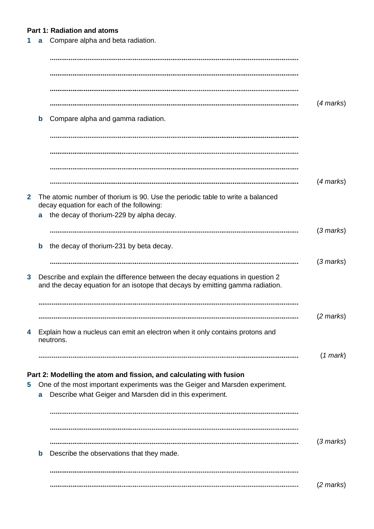### **Part 1: Radiation and atoms**

**1 a** Compare alpha and beta radiation.

|   | $\mathbf b$ | Compare alpha and gamma radiation.                                                                                                                                                                              | $(4$ marks)         |
|---|-------------|-----------------------------------------------------------------------------------------------------------------------------------------------------------------------------------------------------------------|---------------------|
|   |             |                                                                                                                                                                                                                 |                     |
|   |             |                                                                                                                                                                                                                 | $(4$ marks)         |
| 2 |             | The atomic number of thorium is 90. Use the periodic table to write a balanced<br>decay equation for each of the following:<br>the decay of thorium-229 by alpha decay.                                         |                     |
|   | a           |                                                                                                                                                                                                                 | $(3$ marks)         |
|   | b           | the decay of thorium-231 by beta decay.                                                                                                                                                                         | $(3$ marks)         |
| 3 |             | Describe and explain the difference between the decay equations in question 2<br>and the decay equation for an isotope that decays by emitting gamma radiation.                                                 |                     |
|   |             |                                                                                                                                                                                                                 | $(2 \text{ marks})$ |
| 4 |             | Explain how a nucleus can emit an electron when it only contains protons and<br>neutrons.                                                                                                                       |                     |
|   |             |                                                                                                                                                                                                                 | $(1$ mark $)$       |
| 5 | a           | Part 2: Modelling the atom and fission, and calculating with fusion<br>One of the most important experiments was the Geiger and Marsden experiment.<br>Describe what Geiger and Marsden did in this experiment. |                     |
|   |             |                                                                                                                                                                                                                 |                     |
|   | $\mathbf b$ | Describe the observations that they made.                                                                                                                                                                       | $(3$ marks)         |
|   |             |                                                                                                                                                                                                                 |                     |
|   |             |                                                                                                                                                                                                                 | $(2 \text{ marks})$ |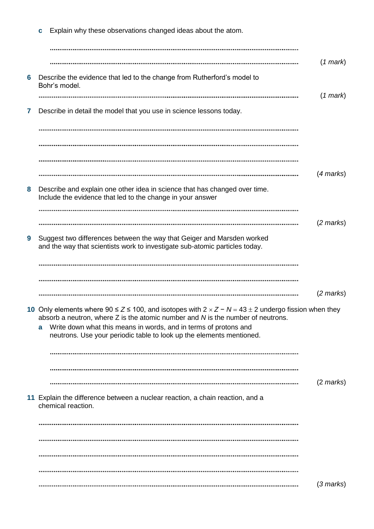|   | Explain why these observations changed ideas about the atom.<br>C                                                                                                                                          |                     |
|---|------------------------------------------------------------------------------------------------------------------------------------------------------------------------------------------------------------|---------------------|
|   |                                                                                                                                                                                                            |                     |
|   |                                                                                                                                                                                                            | $(1$ mark $)$       |
| 6 | Describe the evidence that led to the change from Rutherford's model to<br>Bohr's model.                                                                                                                   |                     |
|   |                                                                                                                                                                                                            | $(1$ mark $)$       |
| 7 | Describe in detail the model that you use in science lessons today.                                                                                                                                        |                     |
|   |                                                                                                                                                                                                            |                     |
|   |                                                                                                                                                                                                            |                     |
|   |                                                                                                                                                                                                            | $(4$ marks)         |
| 8 | Describe and explain one other idea in science that has changed over time.<br>Include the evidence that led to the change in your answer                                                                   |                     |
|   |                                                                                                                                                                                                            |                     |
|   |                                                                                                                                                                                                            | $(2 \text{ marks})$ |
| 9 | Suggest two differences between the way that Geiger and Marsden worked<br>and the way that scientists work to investigate sub-atomic particles today.                                                      |                     |
|   |                                                                                                                                                                                                            |                     |
|   |                                                                                                                                                                                                            |                     |
|   |                                                                                                                                                                                                            | $(2 \text{ marks})$ |
|   | 10 Only elements where $90 \le Z \le 100$ , and isotopes with $2 \times Z - N = 43 \pm 2$ undergo fission when they<br>absorb a neutron, where $Z$ is the atomic number and $N$ is the number of neutrons. |                     |
|   | Write down what this means in words, and in terms of protons and<br>a                                                                                                                                      |                     |
|   | neutrons. Use your periodic table to look up the elements mentioned.                                                                                                                                       |                     |
|   |                                                                                                                                                                                                            |                     |
|   |                                                                                                                                                                                                            |                     |
|   |                                                                                                                                                                                                            | $(2 \text{ marks})$ |
|   | 11 Explain the difference between a nuclear reaction, a chain reaction, and a<br>chemical reaction.                                                                                                        |                     |
|   |                                                                                                                                                                                                            |                     |
|   |                                                                                                                                                                                                            |                     |
|   |                                                                                                                                                                                                            |                     |
|   |                                                                                                                                                                                                            |                     |
|   |                                                                                                                                                                                                            | $(3$ marks)         |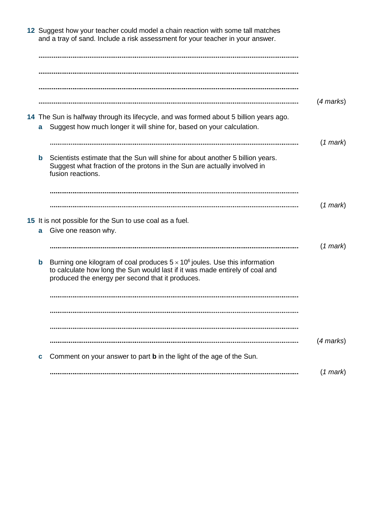|             | 12 Suggest how your teacher could model a chain reaction with some tall matches<br>and a tray of sand. Include a risk assessment for your teacher in your answer.                                                      |                |
|-------------|------------------------------------------------------------------------------------------------------------------------------------------------------------------------------------------------------------------------|----------------|
|             |                                                                                                                                                                                                                        |                |
|             |                                                                                                                                                                                                                        |                |
|             |                                                                                                                                                                                                                        |                |
|             |                                                                                                                                                                                                                        | $(4$ marks $)$ |
| a           | 14 The Sun is halfway through its lifecycle, and was formed about 5 billion years ago.<br>Suggest how much longer it will shine for, based on your calculation.                                                        |                |
|             |                                                                                                                                                                                                                        | $(1$ mark $)$  |
| b           | Scientists estimate that the Sun will shine for about another 5 billion years.<br>Suggest what fraction of the protons in the Sun are actually involved in<br>fusion reactions.                                        |                |
|             |                                                                                                                                                                                                                        |                |
|             |                                                                                                                                                                                                                        | $(1$ mark $)$  |
|             | 15 It is not possible for the Sun to use coal as a fuel.                                                                                                                                                               |                |
| a           | Give one reason why.                                                                                                                                                                                                   |                |
|             |                                                                                                                                                                                                                        | $(1$ mark $)$  |
| $\mathbf b$ | Burning one kilogram of coal produces $5 \times 10^6$ joules. Use this information<br>to calculate how long the Sun would last if it was made entirely of coal and<br>produced the energy per second that it produces. |                |
|             |                                                                                                                                                                                                                        |                |
|             |                                                                                                                                                                                                                        |                |
|             |                                                                                                                                                                                                                        |                |
|             |                                                                                                                                                                                                                        | $(4$ marks)    |
| C           | Comment on your answer to part <b>b</b> in the light of the age of the Sun.                                                                                                                                            |                |
|             |                                                                                                                                                                                                                        | $(1$ mark $)$  |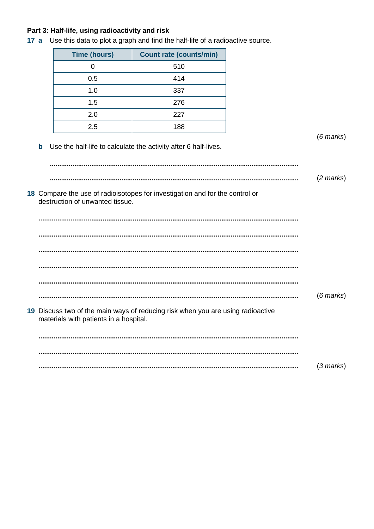# **Part 3: Half-life, using radioactivity and risk**

|             | <b>Time (hours)</b>                    | <b>Count rate (counts/min)</b>                                                  |  |
|-------------|----------------------------------------|---------------------------------------------------------------------------------|--|
|             | $\pmb{0}$                              | 510                                                                             |  |
|             | 0.5                                    | 414                                                                             |  |
|             | 1.0                                    | 337                                                                             |  |
|             | 1.5                                    | 276                                                                             |  |
|             | 2.0                                    | 227                                                                             |  |
|             | 2.5                                    | 188                                                                             |  |
| $\mathbf b$ |                                        | Use the half-life to calculate the activity after 6 half-lives.                 |  |
|             | destruction of unwanted tissue.        | 18 Compare the use of radioisotopes for investigation and for the control or    |  |
|             |                                        |                                                                                 |  |
|             |                                        |                                                                                 |  |
|             |                                        |                                                                                 |  |
|             |                                        |                                                                                 |  |
|             |                                        |                                                                                 |  |
|             | materials with patients in a hospital. | 19 Discuss two of the main ways of reducing risk when you are using radioactive |  |
|             |                                        |                                                                                 |  |
|             |                                        |                                                                                 |  |
|             |                                        |                                                                                 |  |

**17 a** Use this data to plot a graph and find the half-life of a radioactive source.